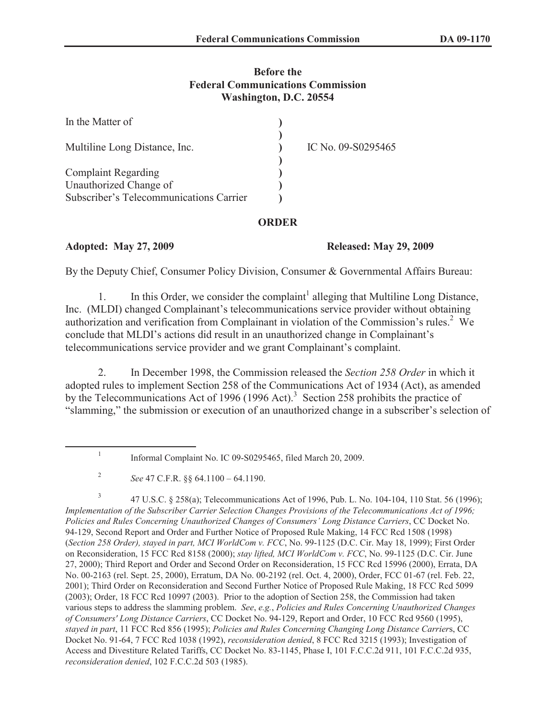## **Before the Federal Communications Commission Washington, D.C. 20554**

| In the Matter of                        |                    |
|-----------------------------------------|--------------------|
| Multiline Long Distance, Inc.           | IC No. 09-S0295465 |
| <b>Complaint Regarding</b>              |                    |
| Unauthorized Change of                  |                    |
| Subscriber's Telecommunications Carrier |                    |

## **ORDER**

**Adopted: May 27, 2009 Released: May 29, 2009**

By the Deputy Chief, Consumer Policy Division, Consumer & Governmental Affairs Bureau:

1. In this Order, we consider the complaint<sup>1</sup> alleging that Multiline Long Distance, Inc. (MLDI) changed Complainant's telecommunications service provider without obtaining authorization and verification from Complainant in violation of the Commission's rules.<sup>2</sup> We conclude that MLDI's actions did result in an unauthorized change in Complainant's telecommunications service provider and we grant Complainant's complaint.

2. In December 1998, the Commission released the *Section 258 Order* in which it adopted rules to implement Section 258 of the Communications Act of 1934 (Act), as amended by the Telecommunications Act of 1996 (1996 Act).<sup>3</sup> Section 258 prohibits the practice of "slamming," the submission or execution of an unauthorized change in a subscriber's selection of

3 47 U.S.C. § 258(a); Telecommunications Act of 1996, Pub. L. No. 104-104, 110 Stat. 56 (1996); *Implementation of the Subscriber Carrier Selection Changes Provisions of the Telecommunications Act of 1996; Policies and Rules Concerning Unauthorized Changes of Consumers' Long Distance Carriers*, CC Docket No. 94-129, Second Report and Order and Further Notice of Proposed Rule Making, 14 FCC Rcd 1508 (1998) (*Section 258 Order), stayed in part, MCI WorldCom v. FCC*, No. 99-1125 (D.C. Cir. May 18, 1999); First Order on Reconsideration, 15 FCC Rcd 8158 (2000); *stay lifted, MCI WorldCom v. FCC*, No. 99-1125 (D.C. Cir. June 27, 2000); Third Report and Order and Second Order on Reconsideration, 15 FCC Rcd 15996 (2000), Errata, DA No. 00-2163 (rel. Sept. 25, 2000), Erratum, DA No. 00-2192 (rel. Oct. 4, 2000), Order, FCC 01-67 (rel. Feb. 22, 2001); Third Order on Reconsideration and Second Further Notice of Proposed Rule Making, 18 FCC Rcd 5099 (2003); Order, 18 FCC Rcd 10997 (2003). Prior to the adoption of Section 258, the Commission had taken various steps to address the slamming problem. *See*, *e.g.*, *Policies and Rules Concerning Unauthorized Changes of Consumers' Long Distance Carriers*, CC Docket No. 94-129, Report and Order, 10 FCC Rcd 9560 (1995), *stayed in part*, 11 FCC Rcd 856 (1995); *Policies and Rules Concerning Changing Long Distance Carrier*s, CC Docket No. 91-64, 7 FCC Rcd 1038 (1992), *reconsideration denied*, 8 FCC Rcd 3215 (1993); Investigation of Access and Divestiture Related Tariffs, CC Docket No. 83-1145, Phase I, 101 F.C.C.2d 911, 101 F.C.C.2d 935, *reconsideration denied*, 102 F.C.C.2d 503 (1985).

<sup>1</sup> Informal Complaint No. IC 09-S0295465, filed March 20, 2009.

<sup>2</sup> *See* 47 C.F.R. §§ 64.1100 – 64.1190.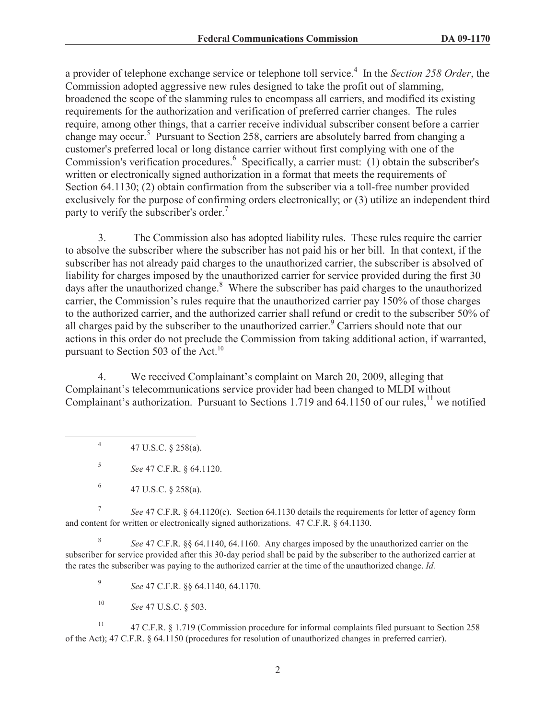a provider of telephone exchange service or telephone toll service.<sup>4</sup> In the *Section 258 Order*, the Commission adopted aggressive new rules designed to take the profit out of slamming, broadened the scope of the slamming rules to encompass all carriers, and modified its existing requirements for the authorization and verification of preferred carrier changes. The rules require, among other things, that a carrier receive individual subscriber consent before a carrier change may occur.<sup>5</sup> Pursuant to Section 258, carriers are absolutely barred from changing a customer's preferred local or long distance carrier without first complying with one of the Commission's verification procedures.<sup>6</sup> Specifically, a carrier must: (1) obtain the subscriber's written or electronically signed authorization in a format that meets the requirements of Section 64.1130; (2) obtain confirmation from the subscriber via a toll-free number provided exclusively for the purpose of confirming orders electronically; or (3) utilize an independent third party to verify the subscriber's order.<sup>7</sup>

3. The Commission also has adopted liability rules. These rules require the carrier to absolve the subscriber where the subscriber has not paid his or her bill. In that context, if the subscriber has not already paid charges to the unauthorized carrier, the subscriber is absolved of liability for charges imposed by the unauthorized carrier for service provided during the first 30 days after the unauthorized change.<sup>8</sup> Where the subscriber has paid charges to the unauthorized carrier, the Commission's rules require that the unauthorized carrier pay 150% of those charges to the authorized carrier, and the authorized carrier shall refund or credit to the subscriber 50% of all charges paid by the subscriber to the unauthorized carrier.<sup>9</sup> Carriers should note that our actions in this order do not preclude the Commission from taking additional action, if warranted, pursuant to Section 503 of the Act. $^{10}$ 

4. We received Complainant's complaint on March 20, 2009, alleging that Complainant's telecommunications service provider had been changed to MLDI without Complainant's authorization. Pursuant to Sections 1.719 and 64.1150 of our rules,<sup>11</sup> we notified

4 47 U.S.C. § 258(a).

5 *See* 47 C.F.R. § 64.1120.

7 *See* 47 C.F.R. § 64.1120(c). Section 64.1130 details the requirements for letter of agency form and content for written or electronically signed authorizations. 47 C.F.R. § 64.1130.

8 *See* 47 C.F.R. §§ 64.1140, 64.1160. Any charges imposed by the unauthorized carrier on the subscriber for service provided after this 30-day period shall be paid by the subscriber to the authorized carrier at the rates the subscriber was paying to the authorized carrier at the time of the unauthorized change. *Id.*

9 *See* 47 C.F.R. §§ 64.1140, 64.1170.

<sup>10</sup> *See* 47 U.S.C. § 503.

<sup>11</sup> 47 C.F.R. § 1.719 (Commission procedure for informal complaints filed pursuant to Section 258 of the Act); 47 C.F.R. § 64.1150 (procedures for resolution of unauthorized changes in preferred carrier).

<sup>6</sup> 47 U.S.C. § 258(a).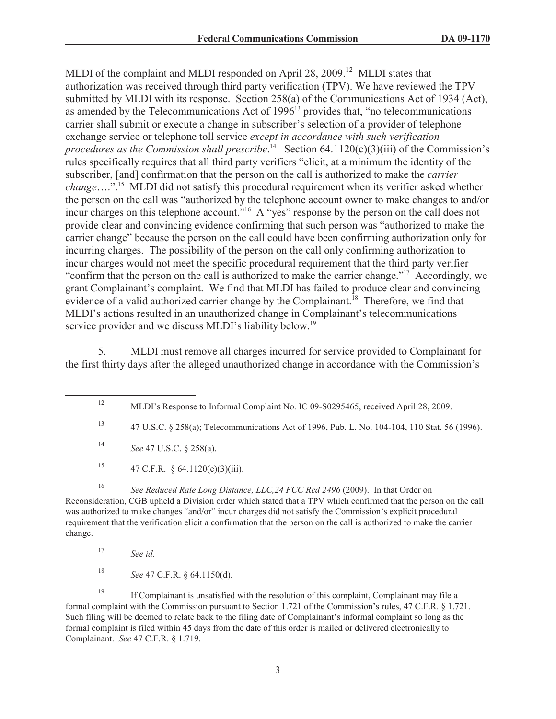MLDI of the complaint and MLDI responded on April 28, 2009.<sup>12</sup> MLDI states that authorization was received through third party verification (TPV). We have reviewed the TPV submitted by MLDI with its response. Section 258(a) of the Communications Act of 1934 (Act), as amended by the Telecommunications Act of  $1996<sup>13</sup>$  provides that, "no telecommunications carrier shall submit or execute a change in subscriber's selection of a provider of telephone exchange service or telephone toll service *except in accordance with such verification*  procedures as the Commission shall prescribe.<sup>14</sup> Section 64.1120(c)(3)(iii) of the Commission's rules specifically requires that all third party verifiers "elicit, at a minimum the identity of the subscriber, [and] confirmation that the person on the call is authorized to make the *carrier change*….".<sup>15</sup> MLDI did not satisfy this procedural requirement when its verifier asked whether the person on the call was "authorized by the telephone account owner to make changes to and/or incur charges on this telephone account."<sup>16</sup> A "yes" response by the person on the call does not provide clear and convincing evidence confirming that such person was "authorized to make the carrier change" because the person on the call could have been confirming authorization only for incurring charges. The possibility of the person on the call only confirming authorization to incur charges would not meet the specific procedural requirement that the third party verifier "confirm that the person on the call is authorized to make the carrier change."<sup>17</sup> Accordingly, we grant Complainant's complaint. We find that MLDI has failed to produce clear and convincing evidence of a valid authorized carrier change by the Complainant.<sup>18</sup> Therefore, we find that MLDI's actions resulted in an unauthorized change in Complainant's telecommunications service provider and we discuss MLDI's liability below.<sup>19</sup>

5. MLDI must remove all charges incurred for service provided to Complainant for the first thirty days after the alleged unauthorized change in accordance with the Commission's

<sup>15</sup> 47 C.F.R. § 64.1120(c)(3)(iii).

<sup>16</sup> See Reduced Rate Long Distance, LLC, 24 FCC Rcd 2496 (2009). In that Order on Reconsideration, CGB upheld a Division order which stated that a TPV which confirmed that the person on the call was authorized to make changes "and/or" incur charges did not satisfy the Commission's explicit procedural requirement that the verification elicit a confirmation that the person on the call is authorized to make the carrier change.

<sup>18</sup> *See* 47 C.F.R. § 64.1150(d).

<sup>19</sup> If Complainant is unsatisfied with the resolution of this complaint, Complainant may file a formal complaint with the Commission pursuant to Section 1.721 of the Commission's rules, 47 C.F.R. § 1.721. Such filing will be deemed to relate back to the filing date of Complainant's informal complaint so long as the formal complaint is filed within 45 days from the date of this order is mailed or delivered electronically to Complainant. *See* 47 C.F.R. § 1.719.

<sup>&</sup>lt;sup>12</sup> MLDI's Response to Informal Complaint No. IC 09-S0295465, received April 28, 2009.

<sup>13</sup> 47 U.S.C. § 258(a); Telecommunications Act of 1996, Pub. L. No. 104-104, 110 Stat. 56 (1996).

<sup>14</sup> *See* 47 U.S.C. § 258(a).

<sup>17</sup> *See id.*